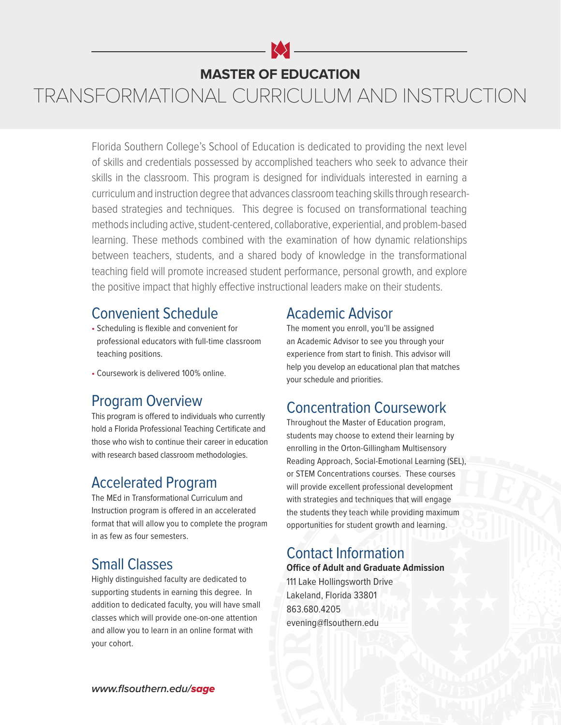# **MASTER OF EDUCATION**

# TRANSFORMATIONAL CURRICULUM AND INSTRUCTION

Florida Southern College's School of Education is dedicated to providing the next level of skills and credentials possessed by accomplished teachers who seek to advance their skills in the classroom. This program is designed for individuals interested in earning a curriculum and instruction degree that advances classroom teaching skills through researchbased strategies and techniques. This degree is focused on transformational teaching methods including active, student-centered, collaborative, experiential, and problem-based learning. These methods combined with the examination of how dynamic relationships between teachers, students, and a shared body of knowledge in the transformational teaching field will promote increased student performance, personal growth, and explore the positive impact that highly effective instructional leaders make on their students.

#### Convenient Schedule

- Scheduling is flexible and convenient for professional educators with full-time classroom teaching positions.
- Coursework is delivered 100% online.

#### Program Overview

This program is offered to individuals who currently hold a Florida Professional Teaching Certificate and those who wish to continue their career in education with research based classroom methodologies.

#### Accelerated Program

The MEd in Transformational Curriculum and Instruction program is offered in an accelerated format that will allow you to complete the program in as few as four semesters.

# Small Classes

Highly distinguished faculty are dedicated to supporting students in earning this degree. In addition to dedicated faculty, you will have small classes which will provide one-on-one attention and allow you to learn in an online format with your cohort.

#### Academic Advisor

The moment you enroll, you'll be assigned an Academic Advisor to see you through your experience from start to finish. This advisor will help you develop an educational plan that matches your schedule and priorities.

# Concentration Coursework

Throughout the Master of Education program, students may choose to extend their learning by enrolling in the Orton-Gillingham Multisensory Reading Approach, Social-Emotional Learning (SEL), or STEM Concentrations courses. These courses will provide excellent professional development with strategies and techniques that will engage the students they teach while providing maximum opportunities for student growth and learning.

#### Contact Information

**Office of Adult and Graduate Admission** 111 Lake Hollingsworth Drive Lakeland, Florida 33801 863.680.4205 evening@flsouthern.edu

**www.flsouthern.edu/**sage